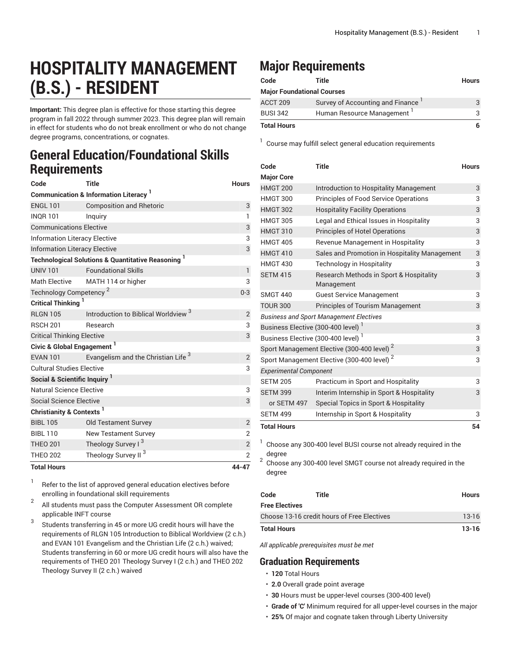## **HOSPITALITY MANAGEMENT (B.S.) - RESIDENT**

**Important:** This degree plan is effective for those starting this degree program in fall 2022 through summer 2023. This degree plan will remain in effect for students who do not break enrollment or who do not change degree programs, concentrations, or cognates.

## **General Education/Foundational Skills Requirements**

| Code                                     | <b>Title</b>                                                             | <b>Hours</b>   |
|------------------------------------------|--------------------------------------------------------------------------|----------------|
|                                          | <b>Communication &amp; Information Literacy</b>                          |                |
| <b>ENGL 101</b>                          | <b>Composition and Rhetoric</b>                                          | 3              |
| <b>INOR 101</b>                          | Inquiry                                                                  | $\mathbf{1}$   |
| <b>Communications Elective</b>           | 3                                                                        |                |
| <b>Information Literacy Elective</b>     | 3                                                                        |                |
| <b>Information Literacy Elective</b>     | 3                                                                        |                |
|                                          | <b>Technological Solutions &amp; Quantitative Reasoning</b> <sup>1</sup> |                |
| <b>UNIV 101</b>                          | <b>Foundational Skills</b>                                               | $\mathbf{1}$   |
| <b>Math Elective</b>                     | MATH 114 or higher                                                       | 3              |
| Technology Competency <sup>2</sup>       | $0 - 3$                                                                  |                |
| Critical Thinking <sup>1</sup>           |                                                                          |                |
| <b>RLGN 105</b>                          | Introduction to Biblical Worldview <sup>3</sup>                          | $\overline{2}$ |
| <b>RSCH 201</b>                          | Research                                                                 | 3              |
| <b>Critical Thinking Elective</b>        | 3                                                                        |                |
| Civic & Global Engagement <sup>1</sup>   |                                                                          |                |
| <b>EVAN 101</b>                          | Evangelism and the Christian Life <sup>3</sup>                           | $\overline{2}$ |
| <b>Cultural Studies Elective</b>         | 3                                                                        |                |
| Social & Scientific Inquiry <sup>1</sup> |                                                                          |                |
| Natural Science Elective                 | 3                                                                        |                |
| <b>Social Science Elective</b>           |                                                                          | 3              |
| Christianity & Contexts <sup>1</sup>     |                                                                          |                |
| <b>BIBL 105</b>                          | <b>Old Testament Survey</b>                                              | $\overline{2}$ |
| <b>BIBL 110</b>                          | <b>New Testament Survey</b>                                              | $\overline{2}$ |
| <b>THEO 201</b>                          | Theology Survey I <sup>3</sup>                                           | $\mathbf{2}$   |
| <b>THEO 202</b>                          | Theology Survey II <sup>3</sup>                                          | $\overline{2}$ |
| <b>Total Hours</b>                       |                                                                          | 44-47          |

1 Refer to the list of approved general [education](https://www.liberty.edu/gened/) electives before enrolling in foundational skill requirements

2 All students must pass the [Computer Assessment](https://www.liberty.edu/computerassessment/) OR complete applicable INFT course

3 Students transferring in 45 or more UG credit hours will have the requirements of RLGN 105 Introduction to Biblical Worldview (2 c.h.) and EVAN 101 Evangelism and the Christian Life (2 c.h.) waived; Students transferring in 60 or more UG credit hours will also have the requirements of THEO 201 Theology Survey I (2 c.h.) and THEO 202 Theology Survey II (2 c.h.) waived

## **Major Requirements**

| Code               | Title                             | <b>Hours</b> |
|--------------------|-----------------------------------|--------------|
|                    | <b>Major Foundational Courses</b> |              |
| ACCT 209           | Survey of Accounting and Finance  | 3            |
| <b>BUSI 342</b>    | Human Resource Management         | 3            |
| <b>Total Hours</b> |                                   | 6            |

<sup>1</sup> Course may fulfill select general education [requirements](http://www.liberty.edu/academics/generalstudies/?PID=37563)

| Code                                                   | <b>Title</b>                                          | <b>Hours</b> |  |  |
|--------------------------------------------------------|-------------------------------------------------------|--------------|--|--|
| <b>Major Core</b>                                      |                                                       |              |  |  |
| <b>HMGT 200</b>                                        | Introduction to Hospitality Management                | 3            |  |  |
| <b>HMGT 300</b>                                        | Principles of Food Service Operations                 | 3            |  |  |
| <b>HMGT 302</b>                                        | <b>Hospitality Facility Operations</b>                | 3            |  |  |
| <b>HMGT 305</b>                                        | Legal and Ethical Issues in Hospitality               | 3            |  |  |
| <b>HMGT 310</b>                                        | <b>Principles of Hotel Operations</b>                 | 3            |  |  |
| <b>HMGT 405</b>                                        | Revenue Management in Hospitality                     | 3            |  |  |
| <b>HMGT 410</b>                                        | Sales and Promotion in Hospitality Management         | 3            |  |  |
| <b>HMGT 430</b>                                        | <b>Technology in Hospitality</b>                      | 3            |  |  |
| <b>SETM 415</b>                                        | Research Methods in Sport & Hospitality<br>Management | 3            |  |  |
| <b>SMGT 440</b>                                        | <b>Guest Service Management</b>                       | 3            |  |  |
| <b>TOUR 300</b>                                        | <b>Principles of Tourism Management</b>               | 3            |  |  |
| <b>Business and Sport Management Electives</b>         |                                                       |              |  |  |
| Business Elective (300-400 level) <sup>1</sup>         |                                                       |              |  |  |
| Business Elective (300-400 level) <sup>1</sup>         |                                                       |              |  |  |
| Sport Management Elective (300-400 level) <sup>2</sup> |                                                       |              |  |  |
| Sport Management Elective (300-400 level) <sup>2</sup> |                                                       |              |  |  |
| <b>Experimental Component</b>                          |                                                       |              |  |  |
| <b>SETM 205</b>                                        | Practicum in Sport and Hospitality                    | 3            |  |  |
| <b>SETM 399</b>                                        | Interim Internship in Sport & Hospitality             | 3            |  |  |
| or SETM 497                                            | Special Topics in Sport & Hospitality                 |              |  |  |
| <b>SETM 499</b>                                        | Internship in Sport & Hospitality                     | 3            |  |  |
| <b>Total Hours</b>                                     |                                                       | 54           |  |  |

 $^1$  Choose any 300-400 level BUSI course not already required in the degree

2 Choose any 300-400 level SMGT course not already required in the degree

| Code                                        | <b>Title</b> | <b>Hours</b> |
|---------------------------------------------|--------------|--------------|
| <b>Free Electives</b>                       |              |              |
| Choose 13-16 credit hours of Free Electives |              | $13 - 16$    |
| Total Hours                                 |              | $13-16$      |

*All applicable prerequisites must be met*

## **Graduation Requirements**

- **120** Total Hours
- **2.0** Overall grade point average
- **30** Hours must be upper-level courses (300-400 level)
- **Grade of 'C'** Minimum required for all upper-level courses in the major
- **25%** Of major and cognate taken through Liberty University